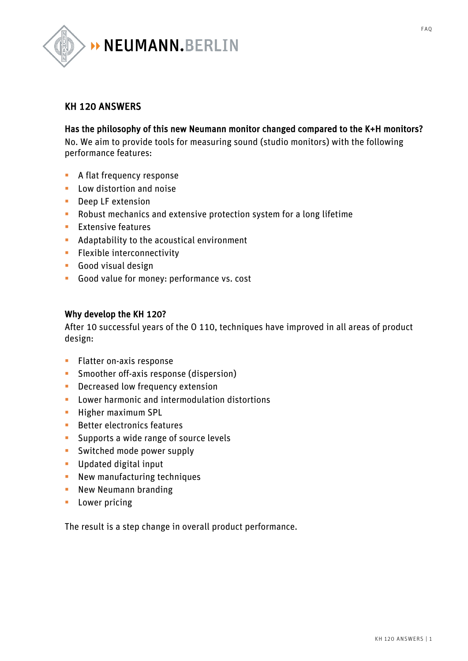

## KH 120 ANSWERS

## Has the philosophy of this new Neumann monitor changed compared to the K+H monitors?

No. We aim to provide tools for measuring sound (studio monitors) with the following performance features:

- **A flat frequency response**
- Low distortion and noise
- Deep LF extension
- Robust mechanics and extensive protection system for a long lifetime
- Extensive features
- **•** Adaptability to the acoustical environment
- **•** Flexible interconnectivity
- § Good visual design
- § Good value for money: performance vs. cost

#### Why develop the KH 120?

After 10 successful years of the O 110, techniques have improved in all areas of product design:

- **•** Flatter on-axis response
- **•** Smoother off-axis response (dispersion)
- **•** Decreased low frequency extension
- Lower harmonic and intermodulation distortions
- **E** Higher maximum SPL
- Better electronics features
- **•** Supports a wide range of source levels
- **•** Switched mode power supply
- § Updated digital input
- **•** New manufacturing techniques
- **New Neumann branding**
- Lower pricing

The result is a step change in overall product performance.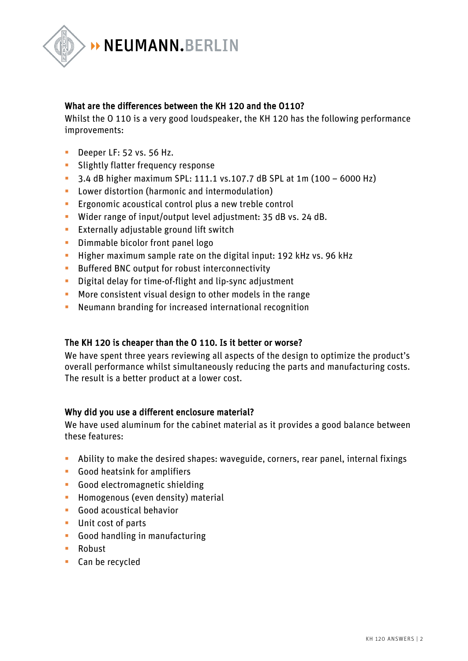

## What are the differences between the KH 120 and the O110?

Whilst the O 110 is a very good loudspeaker, the KH 120 has the following performance improvements:

- **•** Deeper LF: 52 vs. 56 Hz.
- **•** Slightly flatter frequency response
- § 3.4 dB higher maximum SPL: 111.1 vs.107.7 dB SPL at 1m (100 6000 Hz)
- Lower distortion (harmonic and intermodulation)
- Ergonomic acoustical control plus a new treble control
- § Wider range of input/output level adjustment: 35 dB vs. 24 dB.
- **Externally adjustable ground lift switch**
- **•** Dimmable bicolor front panel logo
- **EXTERGH** Higher maximum sample rate on the digital input: 192 kHz vs. 96 kHz
- Buffered BNC output for robust interconnectivity
- **•** Digital delay for time-of-flight and lip-sync adjustment
- § More consistent visual design to other models in the range
- Neumann branding for increased international recognition

## The KH 120 is cheaper than the O 110. Is it better or worse?

We have spent three years reviewing all aspects of the design to optimize the product's overall performance whilst simultaneously reducing the parts and manufacturing costs. The result is a better product at a lower cost.

## Why did you use a different enclosure material?

We have used aluminum for the cabinet material as it provides a good balance between these features:

- § Ability to make the desired shapes: waveguide, corners, rear panel, internal fixings
- § Good heatsink for amplifiers
- § Good electromagnetic shielding
- **•** Homogenous (even density) material
- § Good acoustical behavior
- Unit cost of parts
- § Good handling in manufacturing
- Robust
- Can be recycled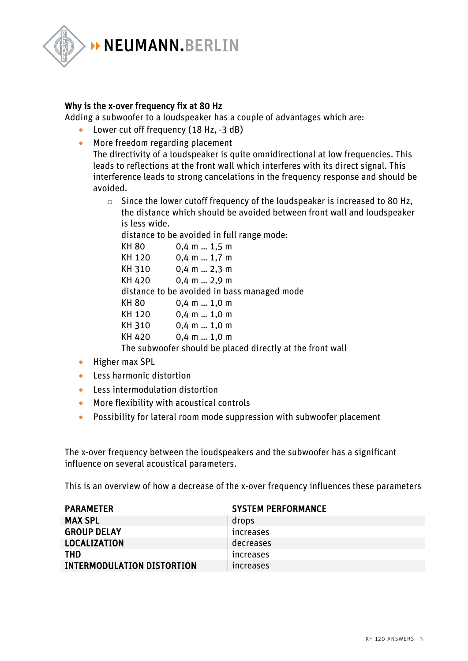

## Why is the x-over frequency fix at 80 Hz

Adding a subwoofer to a loudspeaker has a couple of advantages which are:

- Lower cut off frequency (18 Hz, -3 dB)
- More freedom regarding placement

The directivity of a loudspeaker is quite omnidirectional at low frequencies. This leads to reflections at the front wall which interferes with its direct signal. This interference leads to strong cancelations in the frequency response and should be avoided.

o Since the lower cutoff frequency of the loudspeaker is increased to 80 Hz, the distance which should be avoided between front wall and loudspeaker is less wide.

distance to be avoided in full range mode:

| KH 80  | $0,4$ m $$ 1,5 m                                          |
|--------|-----------------------------------------------------------|
| KH 120 | $0,4$ m  1,7 m                                            |
| KH 310 | $0,4$ m  2,3 m                                            |
| KH 420 | $0,4$ m  2,9 m                                            |
|        | distance to be avoided in bass managed mode               |
| KH 80  | $0,4$ m  1,0 m                                            |
| KH 120 | $0,4$ m  1,0 m                                            |
| KH 310 | $0,4$ m  1,0 m                                            |
| KH 420 | $0,4$ m $1,0$ m                                           |
|        | The subwoofer should be placed directly at the front wall |

- Higher max SPL
- Less harmonic distortion
- Less intermodulation distortion
- More flexibility with acoustical controls
- Possibility for lateral room mode suppression with subwoofer placement

The x-over frequency between the loudspeakers and the subwoofer has a significant influence on several acoustical parameters.

This is an overview of how a decrease of the x-over frequency influences these parameters

| <b>PARAMETER</b>                  | <b>SYSTEM PERFORMANCE</b> |
|-----------------------------------|---------------------------|
| <b>MAX SPL</b>                    | drops                     |
| <b>GROUP DELAY</b>                | <b>Increases</b>          |
| LOCALIZATION                      | decreases                 |
| THD                               | <b>Increases</b>          |
| <b>INTERMODULATION DISTORTION</b> | <i>ncreases</i>           |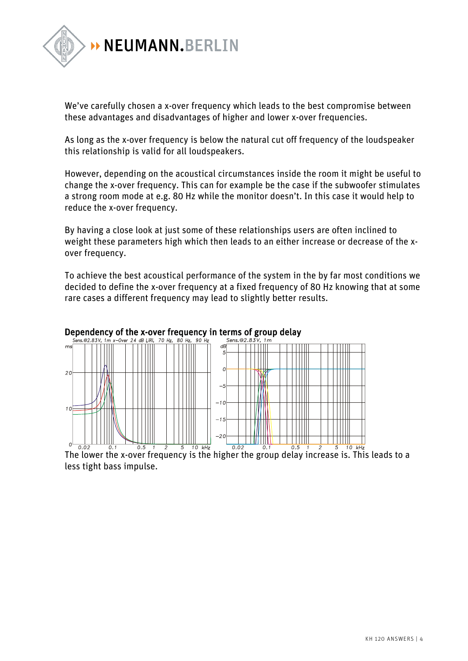

We've carefully chosen a x-over frequency which leads to the best compromise between these advantages and disadvantages of higher and lower x-over frequencies.

As long as the x-over frequency is below the natural cut off frequency of the loudspeaker this relationship is valid for all loudspeakers.

However, depending on the acoustical circumstances inside the room it might be useful to change the x-over frequency. This can for example be the case if the subwoofer stimulates a strong room mode at e.g. 80 Hz while the monitor doesn't. In this case it would help to reduce the x-over frequency.

By having a close look at just some of these relationships users are often inclined to weight these parameters high which then leads to an either increase or decrease of the xover frequency.

To achieve the best acoustical performance of the system in the by far most conditions we decided to define the x-over frequency at a fixed frequency of 80 Hz knowing that at some rare cases a different frequency may lead to slightly better results.



## **Dependency of the x-over frequency in terms of group delay**<br>Sens.@2.83V, 1m x-Over 24 dB LiRi, 70 Hz, 80 Hz, 90 Hz<br>Sens.@2.83V, 1m

less tight bass impulse.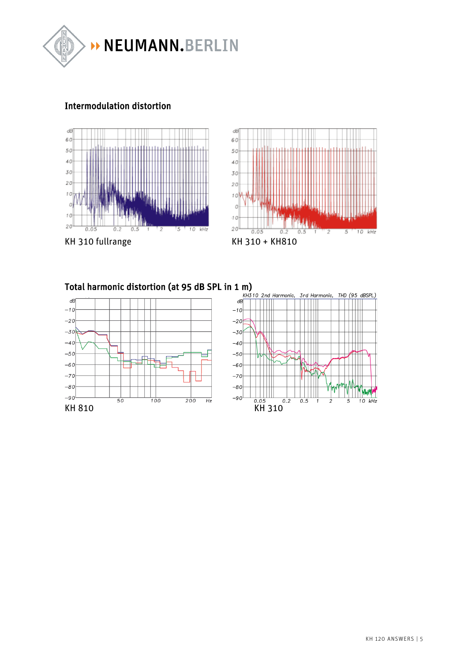

## Intermodulation distortion





Total harmonic distortion (at 95 dB SPL in 1 m)

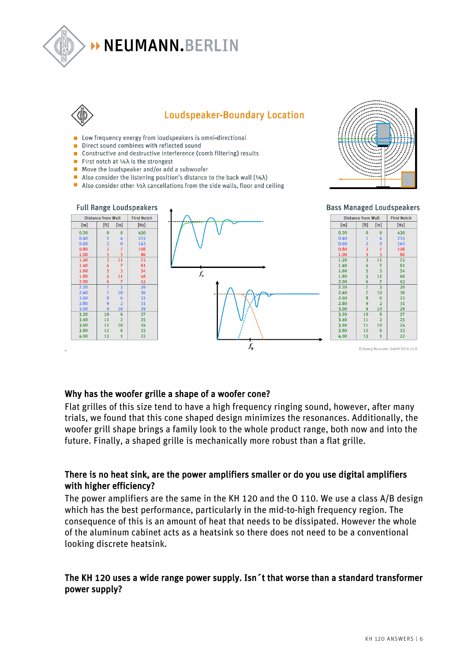

# **NEUMANN.BERLIN**



## **Loudspeaker-Boundary Location**

- Low frequency energy from loudspeakers is omni-directional
- Direct sound combines with reflected sound
- Constructive and destructive interference (comb filtering) results
- **First notch at**  $\frac{1}{4}\lambda$  **is the strongest**
- $\blacksquare$  Move the loudspeaker and/or add a subwoofer
- Also consider the listening position's distance to the back wall  $(1/4\lambda)$
- Also consider other  $\frac{1}{2}\lambda$  cancellations from the side walls, floor and ceiling





## Why has the woofer grille a shape of a woofer cone?

Flat grilles of this size tend to have a high frequency ringing sound, however, after many trials, we found that this cone shaped design minimizes the resonances. Additionally, the woofer grill shape brings a family look to the whole product range, both now and into the future. Finally, a shaped grille is mechanically more robust than a flat grille.

## There is no heat sink, are the power amplifiers smaller or do you use digital amplifiers with higher efficiency?

The power amplifiers are the same in the KH 120 and the O 110. We use a class A/B design which has the best performance, particularly in the mid-to-high frequency region. The consequence of this is an amount of heat that needs to be dissipated. However the whole of the aluminum cabinet acts as a heatsink so there does not need to be a conventional looking discrete heatsink.

## The KH 120 uses a wide range power supply. Isn´t that worse than a standard transformer power supply?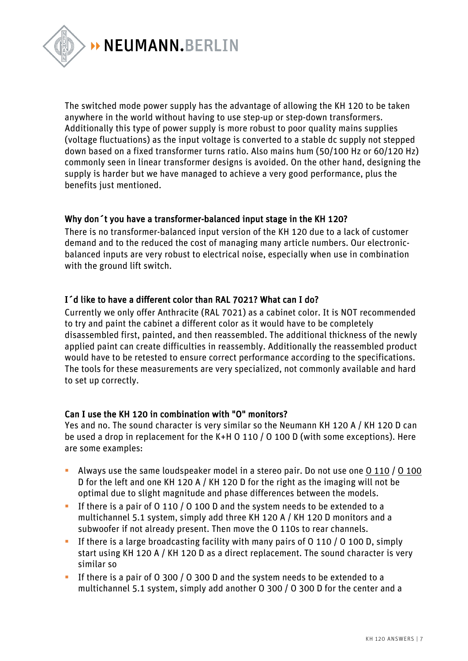

The switched mode power supply has the advantage of allowing the KH 120 to be taken anywhere in the world without having to use step-up or step-down transformers. Additionally this type of power supply is more robust to poor quality mains supplies (voltage fluctuations) as the input voltage is converted to a stable dc supply not stepped down based on a fixed transformer turns ratio. Also mains hum (50/100 Hz or 60/120 Hz) commonly seen in linear transformer designs is avoided. On the other hand, designing the supply is harder but we have managed to achieve a very good performance, plus the benefits just mentioned.

## Why don´t you have a transformer-balanced input stage in the KH 120?

There is no transformer-balanced input version of the KH 120 due to a lack of customer demand and to the reduced the cost of managing many article numbers. Our electronicbalanced inputs are very robust to electrical noise, especially when use in combination with the ground lift switch.

## I´d like to have a different color than RAL 7021? What can I do?

Currently we only offer Anthracite (RAL 7021) as a cabinet color. It is NOT recommended to try and paint the cabinet a different color as it would have to be completely disassembled first, painted, and then reassembled. The additional thickness of the newly applied paint can create difficulties in reassembly. Additionally the reassembled product would have to be retested to ensure correct performance according to the specifications. The tools for these measurements are very specialized, not commonly available and hard to set up correctly.

## Can I use the KH 120 in combination with "O" monitors?

Yes and no. The sound character is very similar so the Neumann KH 120 A / KH 120 D can be used a drop in replacement for the K+H O 110 / O 100 D (with some exceptions). Here are some examples:

- Always use the same loudspeaker model in a stereo pair. Do not use one  $0.110 / 0.100$ D for the left and one KH 120 A / KH 120 D for the right as the imaging will not be optimal due to slight magnitude and phase differences between the models.
- § If there is a pair of O 110 / O 100 D and the system needs to be extended to a multichannel 5.1 system, simply add three KH 120 A / KH 120 D monitors and a subwoofer if not already present. Then move the O 110s to rear channels.
- **•** If there is a large broadcasting facility with many pairs of O 110 / O 100 D, simply start using KH 120 A / KH 120 D as a direct replacement. The sound character is very similar so
- § If there is a pair of O 300 / O 300 D and the system needs to be extended to a multichannel 5.1 system, simply add another O 300 / O 300 D for the center and a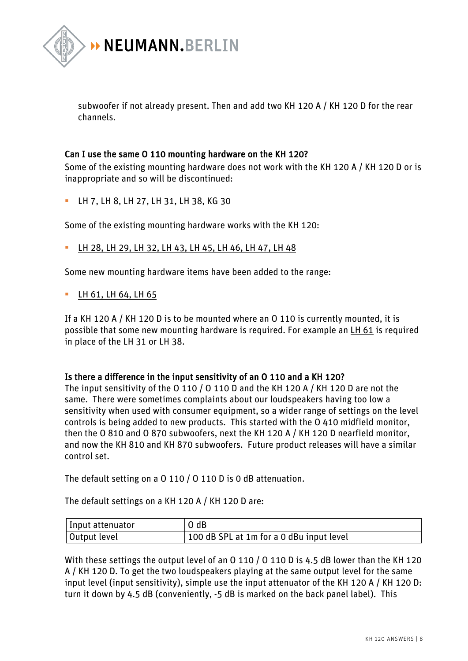

subwoofer if not already present. Then and add two KH 120 A / KH 120 D for the rear channels.

## Can I use the same O 110 mounting hardware on the KH 120?

Some of the existing mounting hardware does not work with the KH 120 A / KH 120 D or is inappropriate and so will be discontinued:

§ LH 7, LH 8, LH 27, LH 31, LH 38, KG 30

Some of the existing mounting hardware works with the KH 120:

§ LH 28, LH 29, LH 32, LH 43, LH 45, LH 46, LH 47, LH 48

Some new mounting hardware items have been added to the range:

■ LH 61, LH 64, LH 65

If a KH 120 A / KH 120 D is to be mounted where an O 110 is currently mounted, it is possible that some new mounting hardware is required. For example an LH 61 is required in place of the LH 31 or LH 38.

## Is there a difference in the input sensitivity of an O 110 and a KH 120?

The input sensitivity of the O 110 / O 110 D and the KH 120 A / KH 120 D are not the same. There were sometimes complaints about our loudspeakers having too low a sensitivity when used with consumer equipment, so a wider range of settings on the level controls is being added to new products. This started with the O 410 midfield monitor, then the O 810 and O 870 subwoofers, next the KH 120 A / KH 120 D nearfield monitor, and now the KH 810 and KH 870 subwoofers. Future product releases will have a similar control set.

The default setting on a O 110 / O 110 D is 0 dB attenuation.

The default settings on a KH 120 A / KH 120 D are:

| Input attenuator | $O$ dB                                   |
|------------------|------------------------------------------|
| Output level     | 100 dB SPL at 1m for a 0 dBu input level |

With these settings the output level of an O 110 / O 110 D is 4.5 dB lower than the KH 120 A / KH 120 D. To get the two loudspeakers playing at the same output level for the same input level (input sensitivity), simple use the input attenuator of the KH 120 A / KH 120 D: turn it down by 4.5 dB (conveniently, -5 dB is marked on the back panel label). This